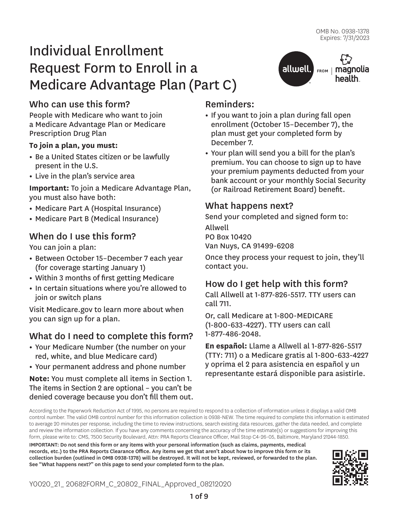FROM | magnolia health.

# Individual Enrollment Request Form to Enroll in a Medicare Advantage Plan (Part C)

# Who can use this form?

People with Medicare who want to join a Medicare Advantage Plan or Medicare Prescription Drug Plan

### **To join a plan, you must:**

- **•** Be a United States citizen or be lawfully present in the U.S.
- **•** Live in the plan's service area

**Important:** To join a Medicare Advantage Plan, you must also have both:

- **•** Medicare Part A (Hospital Insurance)
- **•** Medicare Part B (Medical Insurance)

# When do I use this form?

You can join a plan:

- **•** Between October 15–December 7 each year (for coverage starting January 1)
- **•** Within 3 months of first getting Medicare
- **•** In certain situations where you're allowed to join or switch plans

Visit Medicare.gov to learn more about when you can sign up for a plan.

# What do I need to complete this form?

- **•** Your Medicare Number (the number on your red, white, and blue Medicare card)
- **•** Your permanent address and phone number

**Note:** You must complete all items in Section 1. The items in Section 2 are optional – you can't be denied coverage because you don't fill them out.

# Reminders:

**•** If you want to join a plan during fall open enrollment (October 15–December 7), the plan must get your completed form by December 7.

allwell.

**•** Your plan will send you a bill for the plan's premium. You can choose to sign up to have your premium payments deducted from your bank account or your monthly Social Security (or Railroad Retirement Board) benefit.

### What happens next?

Send your completed and signed form to:

Allwell PO Box 10420 Van Nuys, CA 91499-6208

Once they process your request to join, they'll contact you.

# How do I get help with this form?

Call Allwell at 1-877-826-5517. TTY users can call 711.

Or, call Medicare at 1-800-MEDICARE (1-800-633-4227). TTY users can call 1-877-486-2048.

**En español:** Llame a Allwell al 1-877-826-5517 (TTY: 711) o a Medicare gratis al 1-800-633-4227 y oprima el 2 para asistencia en español y un representante estará disponible para asistirle.

According to the Paperwork Reduction Act of 1995, no persons are required to respond to a collection of information unless it displays a valid OMB control number. The valid OMB control number for this information collection is 0938-NEW. The time required to complete this information is estimated to average 20 minutes per response, including the time to review instructions, search existing data resources, gather the data needed, and complete and review the information collection. If you have any comments concerning the accuracy of the time estimate(s) or suggestions for improving this form, please write to: CMS, 7500 Security Boulevard, Attn: PRA Reports Clearance Officer, Mail Stop C4-26-05, Baltimore, Maryland 21244-1850.

IMPORTANT: Do not send this form or any items with your personal information (such as claims, payments, medical records, etc.) to the PRA Reports Clearance Office. Any items we get that aren't about how to improve this form or its collection burden (outlined in OMB 0938-1378) will be destroyed. It will not be kept, reviewed, or forwarded to the plan. See "What happens next?" on this page to send your completed form to the plan.

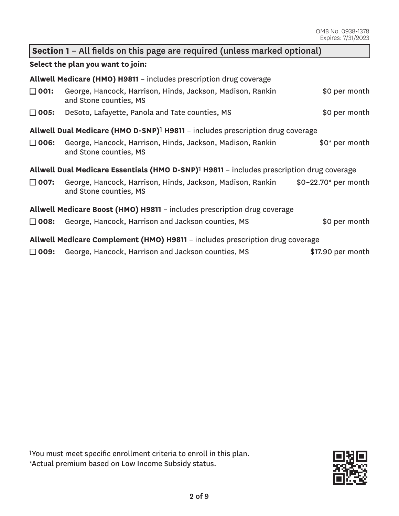| Section 1 - All fields on this page are required (unless marked optional)                             |                                                                                      |                      |  |  |  |  |
|-------------------------------------------------------------------------------------------------------|--------------------------------------------------------------------------------------|----------------------|--|--|--|--|
| Select the plan you want to join:                                                                     |                                                                                      |                      |  |  |  |  |
| Allwell Medicare (HMO) H9811 - includes prescription drug coverage                                    |                                                                                      |                      |  |  |  |  |
| $\Box$ 001:                                                                                           | George, Hancock, Harrison, Hinds, Jackson, Madison, Rankin<br>and Stone counties, MS | \$0 per month        |  |  |  |  |
| $\square$ 005:                                                                                        | DeSoto, Lafayette, Panola and Tate counties, MS                                      | \$0 per month        |  |  |  |  |
| Allwell Dual Medicare (HMO D-SNP) <sup>1</sup> H9811 - includes prescription drug coverage            |                                                                                      |                      |  |  |  |  |
| $\Box$ 006:                                                                                           | George, Hancock, Harrison, Hinds, Jackson, Madison, Rankin<br>and Stone counties, MS | \$0* per month       |  |  |  |  |
| Allwell Dual Medicare Essentials (HMO D-SNP) <sup>1</sup> H9811 - includes prescription drug coverage |                                                                                      |                      |  |  |  |  |
| $\Box$ 007:                                                                                           | George, Hancock, Harrison, Hinds, Jackson, Madison, Rankin<br>and Stone counties, MS | $$0-22.70$ per month |  |  |  |  |
|                                                                                                       | Allwell Medicare Boost (HMO) H9811 - includes prescription drug coverage             |                      |  |  |  |  |
| $\Box$ 008:                                                                                           | George, Hancock, Harrison and Jackson counties, MS                                   | \$0 per month        |  |  |  |  |

George, Hancock, Harrison and Jackson counties, MS **\$17.90** per month

**Allwell Medicare Complement (HMO) H9811** – includes prescription drug coverage

1You must meet specific enrollment criteria to enroll in this plan. \*Actual premium based on Low Income Subsidy status.

 $\square$  009:

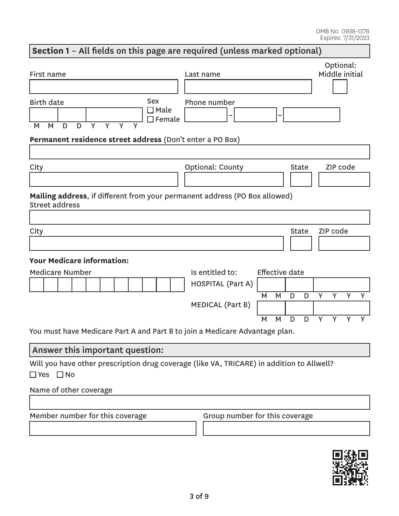# **Section 1** – All fields on this page are required (unless marked optional) First name Last name Optional: Middle initial **– –**  Birth date M M D D Y Y Y Y Sex ■ Male  $\square$  Female Phone number **Permanent residence street address** (Don't enter a PO Box) City City Context County City County City City City Code **Mailing address**, if different from your permanent address (PO Box allowed) Street address City and the City of the City of the City of the City of the City of the City of the City of the City of the City of the City of the City of the City of the City of the City of the City of the City of the City of the City **Your Medicare information:**  Medicare Number **Is entitled to:** Effective date HOSPITAL (Part A) M M D D Y Y Y Y MEDICAL (Part B) M M D D Y Y Y Y You must have Medicare Part A and Part B to join a Medicare Advantage plan.

### Answer this important question:

Will you have other prescription drug coverage (like VA, TRICARE) in addition to Allwell?<br>□ Yes □ No  $\Box$  Yes  $\Box$  No

### Name of other coverage

Member number for this coverage Group number for this coverage

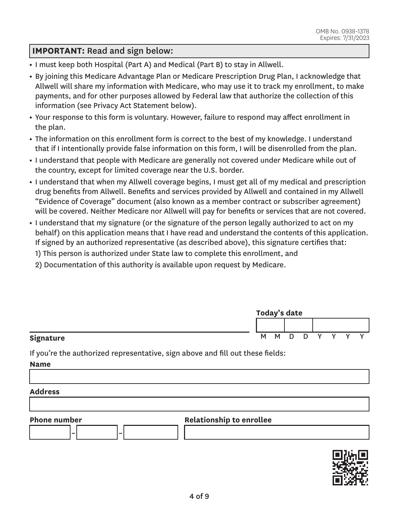### **IMPORTANT:** Read and sign below:

- **•** I must keep both Hospital (Part A) and Medical (Part B) to stay in Allwell.
- **•** By joining this Medicare Advantage Plan or Medicare Prescription Drug Plan, I acknowledge that Allwell will share my information with Medicare, who may use it to track my enrollment, to make payments, and for other purposes allowed by Federal law that authorize the collection of this information (see Privacy Act Statement below).
- **•** Your response to this form is voluntary. However, failure to respond may affect enrollment in the plan.
- **•** The information on this enrollment form is correct to the best of my knowledge. I understand that if I intentionally provide false information on this form, I will be disenrolled from the plan.
- **•** I understand that people with Medicare are generally not covered under Medicare while out of the country, except for limited coverage near the U.S. border.
- **•** I understand that when my Allwell coverage begins, I must get all of my medical and prescription drug benefits from Allwell. Benefits and services provided by Allwell and contained in my Allwell "Evidence of Coverage" document (also known as a member contract or subscriber agreement) will be covered. Neither Medicare nor Allwell will pay for benefits or services that are not covered.
- **•** I understand that my signature (or the signature of the person legally authorized to act on my behalf) on this application means that I have read and understand the contents of this application. If signed by an authorized representative (as described above), this signature certifies that:
	- 1) This person is authorized under State law to complete this enrollment, and
	- 2) Documentation of this authority is available upon request by Medicare.

|           | Today's date |          |     |   |  |  |  |  |
|-----------|--------------|----------|-----|---|--|--|--|--|
|           |              |          |     |   |  |  |  |  |
| Signature | M            | <b>M</b> | - D | D |  |  |  |  |

If you're the authorized representative, sign above and fill out these fields:

**Name** 

#### **Address**



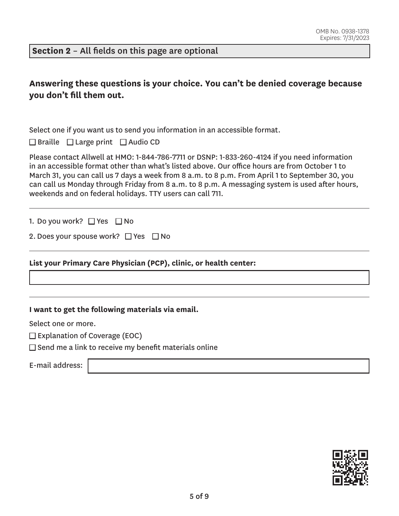**Section 2** – All fields on this page are optional

# **Answering these questions is your choice. You can't be denied coverage because you don't fill them out.**

Select one if you want us to send you information in an accessible format.

 $\Box$  Braille  $\Box$  Large print  $\Box$  Audio CD

Please contact Allwell at HMO: 1-844-786-7711 or DSNP: 1-833-260-4124 if you need information in an accessible format other than what's listed above. Our office hours are from October 1 to March 31, you can call us 7 days a week from 8 a.m. to 8 p.m. From April 1 to September 30, you can call us Monday through Friday from 8 a.m. to 8 p.m. A messaging system is used after hours, weekends and on federal holidays. TTY users can call 711.

1. Do you work? □ Yes □ No

| 2. Does your spouse work? $\Box$ Yes $\Box$ No |  |  |
|------------------------------------------------|--|--|
|------------------------------------------------|--|--|

**List your Primary Care Physician (PCP), clinic, or health center:** 

**I want to get the following materials via email.** 

Select one or more.

 $\square$  Explanation of Coverage (EOC)

 $\square$  Send me a link to receive my benefit materials online

E-mail address:

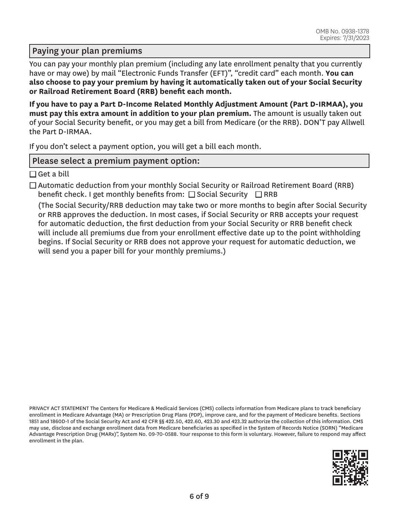### Paying your plan premiums

You can pay your monthly plan premium (including any late enrollment penalty that you currently have or may owe) by mail "Electronic Funds Transfer (EFT)", "credit card" each month. **You can also choose to pay your premium by having it automatically taken out of your Social Security or Railroad Retirement Board (RRB) benefit each month.** 

**If you have to pay a Part D-Income Related Monthly Adjustment Amount (Part D-IRMAA), you must pay this extra amount in addition to your plan premium.** The amount is usually taken out of your Social Security benefit, or you may get a bill from Medicare (or the RRB). DON'T pay Allwell the Part D-IRMAA.

If you don't select a payment option, you will get a bill each month.

### Please select a premium payment option:

 $\square$  Get a bill

 $\Box$  Automatic deduction from your monthly Social Security or Railroad Retirement Board (RRB) benefit check. I get monthly benefits from:  $\Box$  Social Security  $\Box$  RRB

(The Social Security/RRB deduction may take two or more months to begin after Social Security or RRB approves the deduction. In most cases, if Social Security or RRB accepts your request for automatic deduction, the first deduction from your Social Security or RRB benefit check will include all premiums due from your enrollment effective date up to the point withholding begins. If Social Security or RRB does not approve your request for automatic deduction, we will send you a paper bill for your monthly premiums.)

PRIVACY ACT STATEMENT The Centers for Medicare & Medicaid Services (CMS) collects information from Medicare plans to track beneficiary enrollment in Medicare Advantage (MA) or Prescription Drug Plans (PDP), improve care, and for the payment of Medicare benefits. Sections 1851 and 1860D-1 of the Social Security Act and 42 CFR §§ 422.50, 422.60, 423.30 and 423.32 authorize the collection of this information. CMS may use, disclose and exchange enrollment data from Medicare beneficiaries as specified in the System of Records Notice (SORN) "Medicare Advantage Prescription Drug (MARx)", System No. 09-70-0588. Your response to this form is voluntary. However, failure to respond may affect enrollment in the plan.

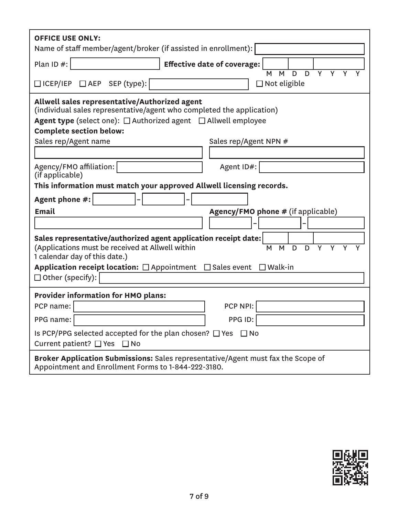| <b>OFFICE USE ONLY:</b><br>Name of staff member/agent/broker (if assisted in enrollment):                                                                                                                                                                                                    |  |  |  |  |  |
|----------------------------------------------------------------------------------------------------------------------------------------------------------------------------------------------------------------------------------------------------------------------------------------------|--|--|--|--|--|
| Plan ID #:<br><b>Effective date of coverage:</b>                                                                                                                                                                                                                                             |  |  |  |  |  |
| $\overline{Y}$<br>D<br>D<br>Y<br>M<br>M<br>□ ICEP/IEP □ AEP SEP (type):<br>$\Box$ Not eligible                                                                                                                                                                                               |  |  |  |  |  |
| Allwell sales representative/Authorized agent<br>(individual sales representative/agent who completed the application)<br><b>Agent type</b> (select one): $\Box$ Authorized agent $\Box$ Allwell employee<br><b>Complete section below:</b><br>Sales rep/Agent name<br>Sales rep/Agent NPN # |  |  |  |  |  |
|                                                                                                                                                                                                                                                                                              |  |  |  |  |  |
| Agency/FMO affiliation:<br>Agent ID#:                                                                                                                                                                                                                                                        |  |  |  |  |  |
| (if applicable)<br>This information must match your approved Allwell licensing records.                                                                                                                                                                                                      |  |  |  |  |  |
| Agent phone #:                                                                                                                                                                                                                                                                               |  |  |  |  |  |
| <b>Email</b><br><b>Agency/FMO phone # (if applicable)</b>                                                                                                                                                                                                                                    |  |  |  |  |  |
|                                                                                                                                                                                                                                                                                              |  |  |  |  |  |
| Sales representative/authorized agent application receipt date:<br>(Applications must be received at Allwell within<br>M<br>D<br>Y<br>Y<br>M<br>D<br>Y<br>1 calendar day of this date.)                                                                                                      |  |  |  |  |  |
| Application receipt location: $\Box$ Appointment $\Box$ Sales event $\Box$ Walk-in<br>$\Box$ Other (specify):                                                                                                                                                                                |  |  |  |  |  |
| <b>Provider information for HMO plans:</b>                                                                                                                                                                                                                                                   |  |  |  |  |  |
| PCP NPI:<br>PCP name:                                                                                                                                                                                                                                                                        |  |  |  |  |  |
| PPG ID:<br>PPG name:                                                                                                                                                                                                                                                                         |  |  |  |  |  |
| Is PCP/PPG selected accepted for the plan chosen? $\Box$ Yes $\Box$ No<br>Current patient? □ Yes □ No                                                                                                                                                                                        |  |  |  |  |  |
| Broker Application Submissions: Sales representative/Agent must fax the Scope of<br>Appointment and Enrollment Forms to 1-844-222-3180.                                                                                                                                                      |  |  |  |  |  |

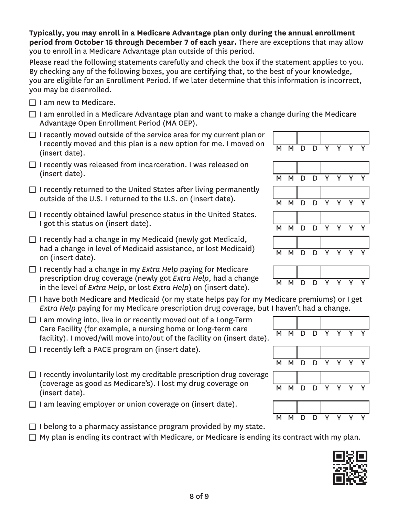**Typically, you may enroll in a Medicare Advantage plan only during the annual enrollment period from October 15 through December 7 of each year.** There are exceptions that may allow you to enroll in a Medicare Advantage plan outside of this period.

Please read the following statements carefully and check the box if the statement applies to you. By checking any of the following boxes, you are certifying that, to the best of your knowledge, you are eligible for an Enrollment Period. If we later determine that this information is incorrect, you may be disenrolled.

- $\Box$  I am new to Medicare.
- $\Box$  I am enrolled in a Medicare Advantage plan and want to make a change during the Medicare Advantage Open Enrollment Period (MA OEP).
- $\Box$  I recently moved outside of the service area for my current plan or I recently moved and this plan is a new option for me. I moved on  $\begin{array}{|l|} \hline \text{M} & \text{M} & \text{D} & \text{D} & \text{Y} & \text{Y} & \text{Y} & \text{Y} \ \hline \text{(insert date)}. \hline \end{array}$
- $\Box$  I recently was released from incarceration. I was released on (insert date). M M D D Y Y Y Y
- $\Box$  I recently returned to the United States after living permanently outside of the U.S. I returned to the U.S. on (insert date).  $M \times N$   $N \times N$
- $\Box$  I recently obtained lawful presence status in the United States. I got this status on (insert date).  $M \cup N$  M  $N \cup N$  D  $N$  Y
- $\Box$  I recently had a change in my Medicaid (newly got Medicaid, had a change in level of Medicaid assistance, or lost Medicaid) <br>on (insert date). M M D D Y Y Y Y
- □ I recently had a change in my *Extra Help* paying for Medicare prescription drug coverage (newly got *Extra Help*, had a change prescription and *coverage* (newly got *Extra Help*, had a change MMMDD D<br>in the level of *Extra Help*, or lost *Extra Help*) on (insert date).
- $\Box$  I have both Medicare and Medicaid (or my state helps pay for my Medicare premiums) or I get *Extra Help* paying for my Medicare prescription drug coverage, but I haven't had a change.
- $\Box$  I am moving into, live in or recently moved out of a Long-Term Care Facility (for example, a nursing home or long-term care Care ractity (for example, a hursing nome of long-term care  $\overline{M}$  M D D Y Y Y Y  $\overline{Y}$  facility). I moved/will move into/out of the facility on (insert date).
- $\Box$  I recently left a PACE program on (insert date).
- $\Box$  I recently involuntarily lost my creditable prescription drug coverage (coverage as good as Medicare's). I lost my drug coverage on (insert date). M M D D Y Y Y Y
- $\Box$  I am leaving employer or union coverage on (insert date).
- $\Box$  I belong to a pharmacy assistance program provided by my state.  $\Box$  My plan is ending its contract with Medicare, or Medicare is ending its contract with my plan.